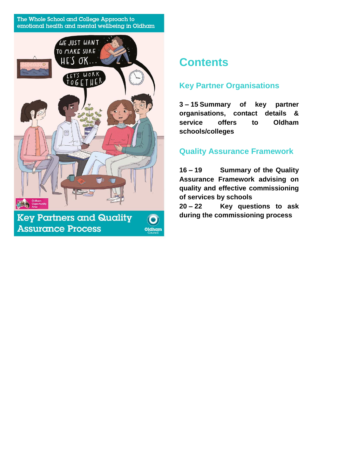#### The Whole School and College Approach to emotional health and mental wellbeing in Oldham



# **Contents**

# **Key Partner Organisations**

**3 – 15 Summary of key partner organisations, contact details & service offers to Oldham schools/colleges**

# **Quality Assurance Framework**

**16 – 19 Summary of the Quality Assurance Framework advising on quality and effective commissioning of services by schools**

**20 – 22 Key questions to ask during the commissioning process**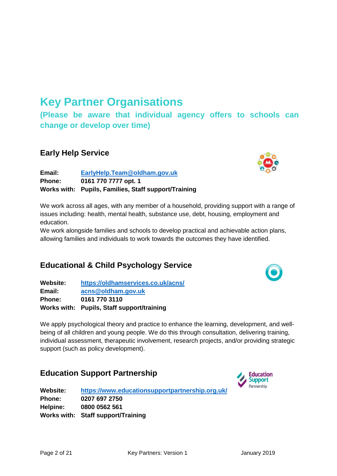# **Key Partner Organisations**

**(Please be aware that individual agency offers to schools can change or develop over time)**

#### **Early Help Service**

**Email: [EarlyHelp.Team@oldham.gov.uk](mailto:EarlyHelp.Team@oldham.gov.uk) Phone: 0161 770 7777 opt. 1 Works with: Pupils, Families, Staff support/Training**

We work across all ages, with any member of a household, providing support with a range of issues including: health, mental health, substance use, debt, housing, employment and education.

We work alongside families and schools to develop practical and achievable action plans, allowing families and individuals to work towards the outcomes they have identified.

# **Educational & Child Psychology Service**

**Website: <https://oldhamservices.co.uk/acns/> Email: [acns@oldham.gov.uk](mailto:acns@oldham.gov.uk)  Phone: 0161 770 3110 Works with: Pupils, Staff support/training**

We apply psychological theory and practice to enhance the learning, development, and wellbeing of all children and young people. We do this through consultation, delivering training, individual assessment, therapeutic involvement, research projects, and/or providing strategic support (such as policy development).

# **Education Support Partnership**

**Website: <https://www.educationsupportpartnership.org.uk/> Phone: 0207 697 2750 Helpine: 0800 0562 561 Works with: Staff support/Training**





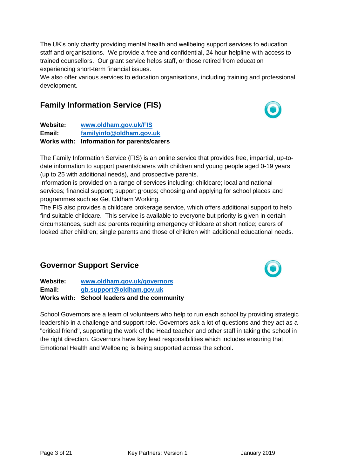The UK's only charity providing mental health and wellbeing support services to education staff and organisations. We provide a free and confidential, 24 hour helpline with access to trained counsellors. Our grant service helps staff, or those retired from education experiencing short-term financial issues.

We also offer various services to education organisations, including training and professional development.

# **Family Information Service (FIS)**

**Website: [www.oldham.gov.uk/FIS](http://www.oldham.gov.uk/FIS)  Email: [familyinfo@oldham.gov.uk](mailto:familyinfo@oldham.gov.uk) Works with: Information for parents/carers**

The Family Information Service (FIS) is an online service that provides free, impartial, up-todate information to support parents/carers with children and young people aged 0-19 years (up to 25 with additional needs), and prospective parents.

Information is provided on a range of services including: childcare; local and national services; financial support; support groups; choosing and applying for school places and programmes such as Get Oldham Working.

The FIS also provides a childcare brokerage service, which offers additional support to help find suitable childcare. This service is available to everyone but priority is given in certain circumstances, such as: parents requiring emergency childcare at short notice; carers of looked after children; single parents and those of children with additional educational needs.

# **Governor Support Service**

**Website: [www.oldham.gov.uk/governors](http://www.oldham.gov.uk/governors) Email: [gb.support@oldham.gov.uk](mailto:gb.support@oldham.gov.uk) Works with: School leaders and the community**

School Governors are a team of volunteers who help to run each school by providing strategic leadership in a challenge and support role. Governors ask a lot of questions and they act as a "critical friend", supporting the work of the Head teacher and other staff in taking the school in the right direction. Governors have key lead responsibilities which includes ensuring that Emotional Health and Wellbeing is being supported across the school.



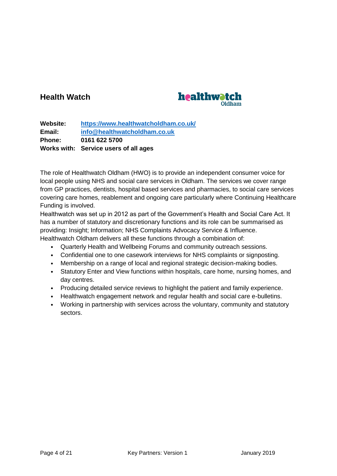## **Health Watch**



**Website: <https://www.healthwatcholdham.co.uk/> Email: [info@healthwatcholdham.co.uk](mailto:info@healthwatcholdham.co.uk)  Phone: 0161 622 5700 Works with: Service users of all ages**

The role of Healthwatch Oldham (HWO) is to provide an independent consumer voice for local people using NHS and social care services in Oldham. The services we cover range from GP practices, dentists, hospital based services and pharmacies, to social care services covering care homes, reablement and ongoing care particularly where Continuing Healthcare Funding is involved.

Healthwatch was set up in 2012 as part of the Government's Health and Social Care Act. It has a number of statutory and discretionary functions and its role can be summarised as providing: Insight; Information; NHS Complaints Advocacy Service & Influence. Healthwatch Oldham delivers all these functions through a combination of:

- Quarterly Health and Wellbeing Forums and community outreach sessions.
- Confidential one to one casework interviews for NHS complaints or signposting.
- Membership on a range of local and regional strategic decision-making bodies.
- Statutory Enter and View functions within hospitals, care home, nursing homes, and day centres.
- Producing detailed service reviews to highlight the patient and family experience.
- Healthwatch engagement network and regular health and social care e-bulletins.
- Working in partnership with services across the voluntary, community and statutory sectors.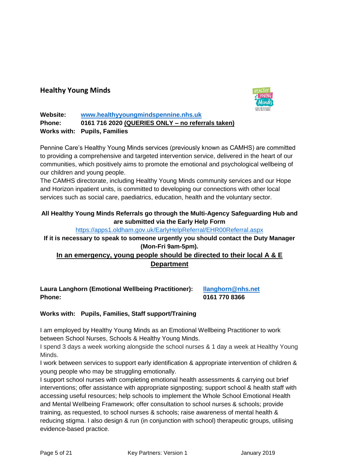#### **Healthy Young Minds**



#### **Website: [www.healthyyoungmindspennine.nhs.uk](http://www.healthyyoungmindspennine.nhs.uk/) Phone: 0161 716 2020 (QUERIES ONLY – no referrals taken) Works with: Pupils, Families**

Pennine Care's Healthy Young Minds services (previously known as CAMHS) are committed to providing a comprehensive and targeted intervention service, delivered in the heart of our communities, which positively aims to promote the emotional and psychological wellbeing of our children and young people.

The CAMHS directorate, including Healthy Young Minds community services and our Hope and Horizon inpatient units, is committed to developing our connections with other local services such as social care, paediatrics, education, health and the voluntary sector.

#### **All Healthy Young Minds Referrals go through the Multi-Agency Safeguarding Hub and are submitted via the Early Help Form**

<https://apps1.oldham.gov.uk/EarlyHelpReferral/EHR00Referral.aspx>

#### **If it is necessary to speak to someone urgently you should contact the Duty Manager (Mon-Fri 9am-5pm).**

#### **In an emergency, young people should be directed to their local A & E Department**

**Laura Langhorn (Emotional Wellbeing Practitioner): [llanghorn@nhs.net](mailto:llanghorn@nhs.net) Phone: 0161 770 8366**

#### **Works with: Pupils, Families, Staff support/Training**

I am employed by Healthy Young Minds as an Emotional Wellbeing Practitioner to work between School Nurses, Schools & Healthy Young Minds.

I spend 3 days a week working alongside the school nurses & 1 day a week at Healthy Young Minds.

I work between services to support early identification & appropriate intervention of children & young people who may be struggling emotionally.

I support school nurses with completing emotional health assessments & carrying out brief interventions; offer assistance with appropriate signposting; support school & health staff with accessing useful resources; help schools to implement the Whole School Emotional Health and Mental Wellbeing Framework; offer consultation to school nurses & schools; provide training, as requested, to school nurses & schools; raise awareness of mental health & reducing stigma. I also design & run (in conjunction with school) therapeutic groups, utilising evidence-based practice.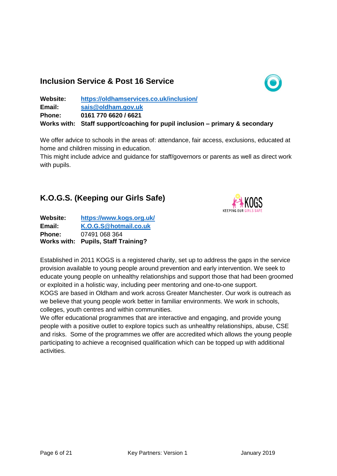### **Inclusion Service & Post 16 Service**



| Website:      | https://oldhamservices.co.uk/inclusion/                                      |
|---------------|------------------------------------------------------------------------------|
| Email:        | sais@oldham.gov.uk                                                           |
| <b>Phone:</b> | 0161 770 6620 / 6621                                                         |
|               | Works with: Staff support/coaching for pupil inclusion – primary & secondary |

We offer advice to schools in the areas of: attendance, fair access, exclusions, educated at home and children missing in education.

This might include advice and guidance for staff/governors or parents as well as direct work with pupils.

# **K.O.G.S. (Keeping our Girls Safe)**



| Website:      | https://www.kogs.org.uk/            |  |
|---------------|-------------------------------------|--|
| Email:        | K.O.G.S@hotmail.co.uk               |  |
| <b>Phone:</b> | 07491 068 364                       |  |
|               | Works with: Pupils, Staff Training? |  |

Established in 2011 KOGS is a registered charity, set up to address the gaps in the service provision available to young people around prevention and early intervention. We seek to educate young people on unhealthy relationships and support those that had been groomed or exploited in a holistic way, including peer mentoring and one-to-one support. KOGS are based in Oldham and work across Greater Manchester. Our work is outreach as we believe that young people work better in familiar environments. We work in schools,

colleges, youth centres and within communities.

We offer educational programmes that are interactive and engaging, and provide young people with a positive outlet to explore topics such as unhealthy relationships, abuse, CSE and risks. Some of the programmes we offer are accredited which allows the young people participating to achieve a recognised qualification which can be topped up with additional activities.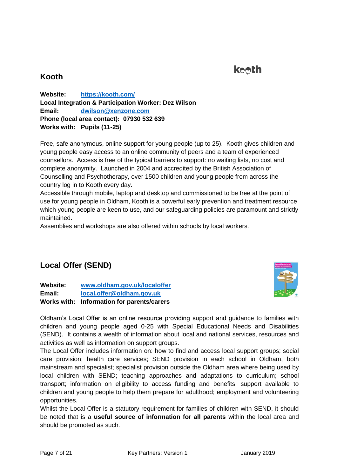# **keeth**

### **Kooth**

**Website: <https://kooth.com/> Local Integration & Participation Worker: Dez Wilson Email: [dwilson@xenzone.com](mailto:dwilson@xenzone.com)  Phone (local area contact): 07930 532 639 Works with: Pupils (11-25)**

Free, safe anonymous, online support for young people (up to 25). Kooth gives children and young people easy access to an online community of peers and a team of experienced counsellors. Access is free of the typical barriers to support: no waiting lists, no cost and complete anonymity. Launched in 2004 and accredited by the British Association of Counselling and Psychotherapy, over 1500 children and young people from across the country log in to Kooth every day.

Accessible through mobile, laptop and desktop and commissioned to be free at the point of use for young people in Oldham, Kooth is a powerful early prevention and treatment resource which young people are keen to use, and our safeguarding policies are paramount and strictly maintained.

Assemblies and workshops are also offered within schools by local workers.

# **Local Offer (SEND)**

**Website: [www.oldham.gov.uk/localoffer](http://www.oldham.gov.uk/localoffer) Email: [local.offer@oldham.gov.uk](mailto:local.offer@oldham.gov.uk)  Works with: Information for parents/carers** 



Oldham's Local Offer is an online resource providing support and guidance to families with children and young people aged 0-25 with Special Educational Needs and Disabilities (SEND). It contains a wealth of information about local and national services, resources and activities as well as information on support groups.

The Local Offer includes information on: how to find and access local support groups; social care provision; health care services; SEND provision in each school in Oldham, both mainstream and specialist; specialist provision outside the Oldham area where being used by local children with SEND; teaching approaches and adaptations to curriculum; school transport; information on eligibility to access funding and benefits; support available to children and young people to help them prepare for adulthood; employment and volunteering opportunities.

Whilst the Local Offer is a statutory requirement for families of children with SEND, it should be noted that is a **useful source of information for all parents** within the local area and should be promoted as such.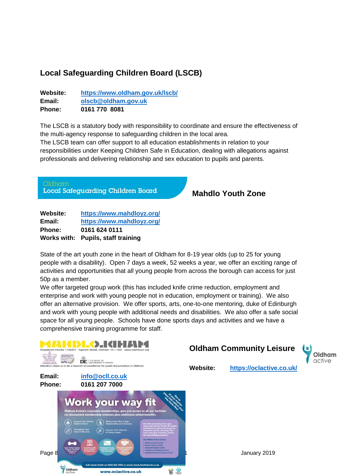# **Local Safeguarding Children Board (LSCB)**

| Website:      | https://www.oldham.gov.uk/lscb/ |  |
|---------------|---------------------------------|--|
| Email:        | olscb@oldham.gov.uk             |  |
| <b>Phone:</b> | 0161 770 8081                   |  |

The LSCB is a statutory body with responsibility to coordinate and ensure the effectiveness of the multi-agency response to safeguarding children in the local area.

The LSCB team can offer support to all education establishments in relation to your responsibilities under Keeping Children Safe in Education, dealing with allegations against professionals and delivering relationship and sex education to pupils and parents.

)ldham Local Safeguarding Children Board

**Mahdlo Youth Zone**

| Website:      | https://www.mahdloyz.org/          |
|---------------|------------------------------------|
| Email:        | https://www.mahdloyz.org/          |
| <b>Phone:</b> | 0161 624 0111                      |
|               | Works with: Pupils, staff training |

State of the art youth zone in the heart of Oldham for 8-19 year olds (up to 25 for young people with a disability). Open 7 days a week, 52 weeks a year, we offer an exciting range of activities and opportunities that all young people from across the borough can access for just 50p as a member.

We offer targeted group work (this has included knife crime reduction, employment and enterprise and work with young people not in education, employment or training). We also offer an alternative provision. We offer sports, arts, one-to-one mentoring, duke of Edinburgh and work with young people with additional needs and disabilities. We also offer a safe social space for all young people. Schools have done sports days and activities and we have a comprehensive training programme for staff.

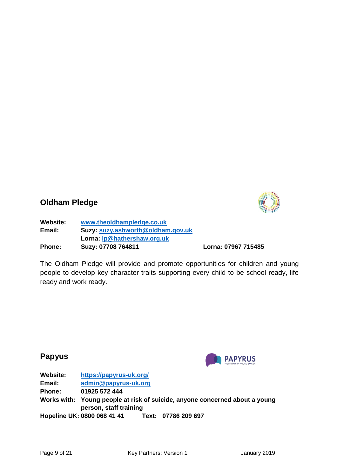

#### **Oldham Pledge**

**Website: [www.theoldhampledge.co.uk](http://www.theoldhampledge.co.uk/) Email: Suzy: [suzy.ashworth@oldham.gov.uk](mailto:suzy.ashworth@oldham.gov.uk) Lorna: [lp@hathershaw.org.uk](mailto:lp@hathershaw.org.uk) Phone: Suzy: 07708 764811 Lorna: 07967 715485**

The Oldham Pledge will provide and promote opportunities for children and young people to develop key character traits supporting every child to be school ready, life ready and work ready.

### **Papyus**



| Website:      | https://papyrus-uk.org/                                                                               |  |
|---------------|-------------------------------------------------------------------------------------------------------|--|
| Email:        | admin@papyrus-uk.org                                                                                  |  |
| <b>Phone:</b> | 01925 572 444                                                                                         |  |
|               | Works with: Young people at risk of suicide, anyone concerned about a young<br>person, staff training |  |
|               | Hopeline UK: 0800 068 41 41<br>Text: 07786 209 697                                                    |  |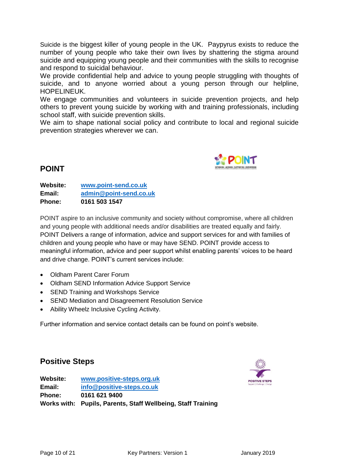Suicide is the biggest killer of young people in the UK. Paypyrus exists to reduce the number of young people who take their own lives by shattering the stigma around suicide and equipping young people and their communities with the skills to recognise and respond to suicidal behaviour.

We provide confidential help and advice to young people struggling with thoughts of suicide, and to anyone worried about a young person through our helpline, HOPELINEUK.

We engage communities and volunteers in suicide prevention projects, and help others to prevent young suicide by working with and training professionals, including school staff, with suicide prevention skills.

We aim to shape national social policy and contribute to local and regional suicide prevention strategies wherever we can.



#### **POINT**

**Website: [www.point-send.co.uk](http://www.point-send.co.uk/)  Email: [admin@point-send.co.uk](mailto:admin@point-send.co.uk) Phone: 0161 503 1547**

POINT aspire to an inclusive community and society without compromise, where all children and young people with additional needs and/or disabilities are treated equally and fairly. POINT Delivers a range of information, advice and support services for and with families of children and young people who have or may have SEND. POINT provide access to meaningful information, advice and peer support whilst enabling parents' voices to be heard and drive change. POINT's current services include:

- Oldham Parent Carer Forum
- Oldham SEND Information Advice Support Service
- SEND Training and Workshops Service
- SEND Mediation and Disagreement Resolution Service
- Ability Wheelz Inclusive Cycling Activity.

Further information and service contact details can be found on point's website.

#### **Positive Steps**



**Website: [www.positive-steps.org.uk](http://www.positive-steps.org.uk/) Email: [info@positive-steps.co.uk](mailto:info@positive-steps.co.uk)  Phone: 0161 621 9400 Works with: Pupils, Parents, Staff Wellbeing, Staff Training**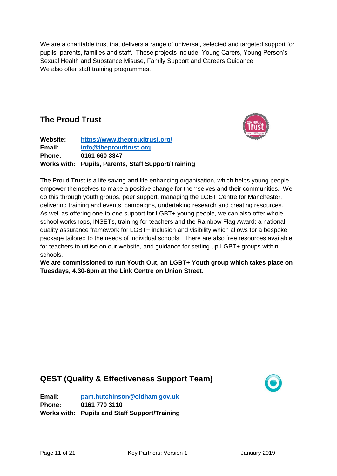We are a charitable trust that delivers a range of universal, selected and targeted support for pupils, parents, families and staff. These projects include: Young Carers, Young Person's Sexual Health and Substance Misuse, Family Support and Careers Guidance. We also offer staff training programmes.

## **The Proud Trust**



| Website:      | https://www.theproudtrust.org/                      |  |
|---------------|-----------------------------------------------------|--|
| Email:        | info@theproudtrust.org                              |  |
| <b>Phone:</b> | 0161 660 3347                                       |  |
|               | Works with: Pupils, Parents, Staff Support/Training |  |

The Proud Trust is a life saving and life enhancing organisation, which helps young people empower themselves to make a positive change for themselves and their communities. We do this through youth groups, peer support, managing the LGBT Centre for Manchester, delivering training and events, campaigns, undertaking research and creating resources. As well as offering one-to-one support for LGBT+ young people, we can also offer whole school workshops, INSETs, training for teachers and the Rainbow Flag Award: a national quality assurance framework for LGBT+ inclusion and visibility which allows for a bespoke package tailored to the needs of individual schools. There are also free resources available for teachers to utilise on our website, and guidance for setting up LGBT+ groups within schools.

**We are commissioned to run Youth Out, an LGBT+ Youth group which takes place on Tuesdays, 4.30-6pm at the Link Centre on Union Street.** 

# **QEST (Quality & Effectiveness Support Team)**



**Email: [pam.hutchinson@oldham.gov.uk](mailto:pam.hutchinson@oldham.gov.uk) Phone: 0161 770 3110 Works with: Pupils and Staff Support/Training**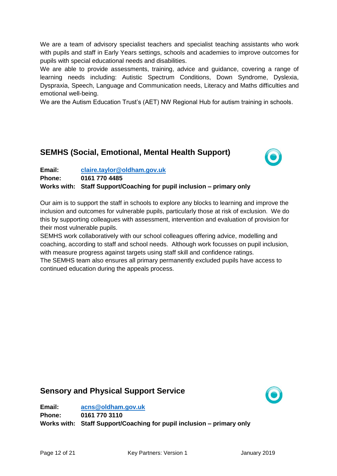We are a team of advisory specialist teachers and specialist teaching assistants who work with pupils and staff in Early Years settings, schools and academies to improve outcomes for pupils with special educational needs and disabilities.

We are able to provide assessments, training, advice and guidance, covering a range of learning needs including: Autistic Spectrum Conditions, Down Syndrome, Dyslexia, Dyspraxia, Speech, Language and Communication needs, Literacy and Maths difficulties and emotional well-being.

We are the Autism Education Trust's (AET) NW Regional Hub for autism training in schools.

#### **SEMHS (Social, Emotional, Mental Health Support)**



**Email: [claire.taylor@oldham.gov.uk](mailto:claire.taylor@oldham.gov.uk) Phone: 0161 770 4485 Works with: Staff Support/Coaching for pupil inclusion – primary only**

Our aim is to support the staff in schools to explore any blocks to learning and improve the inclusion and outcomes for vulnerable pupils, particularly those at risk of exclusion. We do this by supporting colleagues with assessment, intervention and evaluation of provision for their most vulnerable pupils.

SEMHS work collaboratively with our school colleagues offering advice, modelling and coaching, according to staff and school needs. Although work focusses on pupil inclusion, with measure progress against targets using staff skill and confidence ratings.

The SEMHS team also ensures all primary permanently excluded pupils have access to continued education during the appeals process.

#### **Sensory and Physical Support Service**



**Email: [acns@oldham.gov.uk](mailto:acns@oldham.gov.uk)  Phone: 0161 770 3110 Works with: Staff Support/Coaching for pupil inclusion – primary only**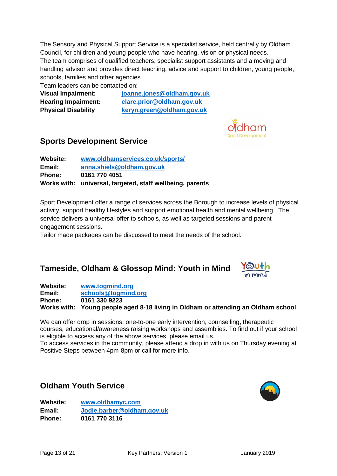The Sensory and Physical Support Service is a specialist service, held centrally by Oldham Council, for children and young people who have hearing, vision or physical needs. The team comprises of qualified teachers, specialist support assistants and a moving and handling advisor and provides direct teaching, advice and support to children, young people, schools, families and other agencies.

Team leaders can be contacted on:

**Visual Impairment: [joanne.jones@oldham.gov.uk](mailto:joanne.jones@oldham.gov.uk) Hearing Impairment: [clare.prior@oldham.gov.uk](mailto:clare.prior@oldham.gov.uk) Physical Disability [keryn.green@oldham.gov.uk](mailto:keryn.green@oldham.gov.uk)**



## **Sports Development Service**

**Website: [www.oldhamservices.co.uk/sports/](http://www.oldhamservices.co.uk/sports/) Email: [anna.shiels@oldham.gov.uk](mailto:anna.shiels@oldham.gov.uk)  Phone: 0161 770 4051 Works with: universal, targeted, staff wellbeing, parents**

Sport Development offer a range of services across the Borough to increase levels of physical activity, support healthy lifestyles and support emotional health and mental wellbeing. The service delivers a universal offer to schools, as well as targeted sessions and parent engagement sessions.

Tailor made packages can be discussed to meet the needs of the school.

### **Tameside, Oldham & Glossop Mind: Youth in Mind**



**Website: [www.togmind.org](http://www.togmind.org/) Email: [schools@togmind.org](mailto:schools@togmind.org) Phone: 0161 330 9223 Works with: Young people aged 8-18 living in Oldham or attending an Oldham school**

We can offer drop in sessions, one-to-one early intervention, counselling, therapeutic courses, educational/awareness raising workshops and assemblies. To find out if your school is eligible to access any of the above services, please email us.

To access services in the community, please attend a drop in with us on Thursday evening at Positive Steps between 4pm-8pm or call for more info.

#### **Oldham Youth Service**

**Website: [www.oldhamyc.com](http://www.oldhamyc.com/) Email: [Jodie.barber@oldham.gov.uk](mailto:Jodie.barber@oldham.gov.uk) Phone: 0161 770 3116**

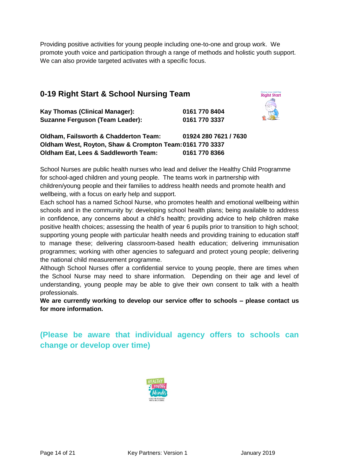Providing positive activities for young people including one-to-one and group work. We promote youth voice and participation through a range of methods and holistic youth support. We can also provide targeted activates with a specific focus.

## **0-19 Right Start & School Nursing Team**

| Giving your child the<br><b>Right Start</b> |
|---------------------------------------------|
|                                             |
|                                             |

**Kay Thomas (Clinical Manager): 0161 770 8404 Suzanne Ferguson (Team Leader): 0161 770 3337**

**Oldham, Failsworth & Chadderton Team: 01924 280 7621 / 7630 Oldham West, Royton, Shaw & Crompton Team:0161 770 3337 Oldham Eat, Lees & Saddleworth Team: 0161 770 8366**

School Nurses are public health nurses who lead and deliver the Healthy Child Programme for school-aged children and young people. The teams work in partnership with children/young people and their families to address health needs and promote health and wellbeing, with a focus on early help and support.

Each school has a named School Nurse, who promotes health and emotional wellbeing within schools and in the community by: developing school health plans; being available to address in confidence, any concerns about a child's health; providing advice to help children make positive health choices; assessing the health of year 6 pupils prior to transition to high school; supporting young people with particular health needs and providing training to education staff to manage these; delivering classroom-based health education; delivering immunisation programmes; working with other agencies to safeguard and protect young people; delivering the national child measurement programme.

Although School Nurses offer a confidential service to young people, there are times when the School Nurse may need to share information. Depending on their age and level of understanding, young people may be able to give their own consent to talk with a health professionals.

**We are currently working to develop our service offer to schools – please contact us for more information.** 

**(Please be aware that individual agency offers to schools can change or develop over time)**

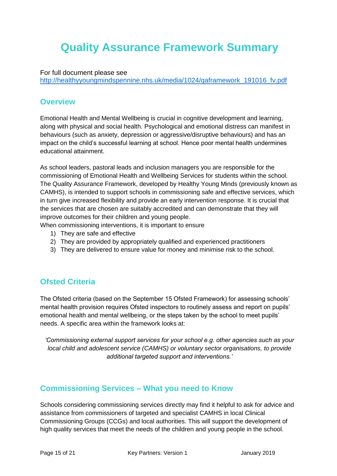# **Quality Assurance Framework Summary**

#### For full document please see

[http://healthyyoungmindspennine.nhs.uk/media/1024/qaframework\\_191016\\_fv.pdf](http://healthyyoungmindspennine.nhs.uk/media/1024/qaframework_191016_fv.pdf)

#### **Overview**

Emotional Health and Mental Wellbeing is crucial in cognitive development and learning, along with physical and social health. Psychological and emotional distress can manifest in behaviours (such as anxiety, depression or aggressive/disruptive behaviours) and has an impact on the child's successful learning at school. Hence poor mental health undermines educational attainment.

As school leaders, pastoral leads and inclusion managers you are responsible for the commissioning of Emotional Health and Wellbeing Services for students within the school. The Quality Assurance Framework, developed by Healthy Young Minds (previously known as CAMHS), is intended to support schools in commissioning safe and effective services, which in turn give increased flexibility and provide an early intervention response. It is crucial that the services that are chosen are suitably accredited and can demonstrate that they will improve outcomes for their children and young people.

When commissioning interventions, it is important to ensure

- 1) They are safe and effective
- 2) They are provided by appropriately qualified and experienced practitioners
- 3) They are delivered to ensure value for money and minimise risk to the school.

### **Ofsted Criteria**

The Ofsted criteria (based on the September 15 Ofsted Framework) for assessing schools' mental health provision requires Ofsted inspectors to routinely assess and report on pupils' emotional health and mental wellbeing, or the steps taken by the school to meet pupils' needs. A specific area within the framework looks at:

*'Commissioning external support services for your school e.g. other agencies such as your local child and adolescent service (CAMHS) or voluntary sector organisations, to provide additional targeted support and interventions.'*

#### **Commissioning Services – What you need to Know**

Schools considering commissioning services directly may find it helpful to ask for advice and assistance from commissioners of targeted and specialist CAMHS in local Clinical Commissioning Groups (CCGs) and local authorities. This will support the development of high quality services that meet the needs of the children and young people in the school.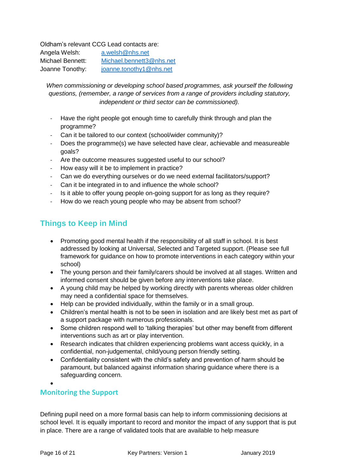Oldham's relevant CCG Lead contacts are:

| Angela Welsh:           | a.welsh@nhs.net          |
|-------------------------|--------------------------|
| <b>Michael Bennett:</b> | Michael.bennett3@nhs.net |
| Joanne Tonothy:         | joanne.tonothy1@nhs.net  |

*When commissioning or developing school based programmes, ask yourself the following questions, (remember, a range of services from a range of providers including statutory, independent or third sector can be commissioned).*

- Have the right people got enough time to carefully think through and plan the programme?
- Can it be tailored to our context (school/wider community)?
- Does the programme(s) we have selected have clear, achievable and measureable goals?
- Are the outcome measures suggested useful to our school?
- How easy will it be to implement in practice?
- Can we do everything ourselves or do we need external facilitators/support?
- Can it be integrated in to and influence the whole school?
- Is it able to offer young people on-going support for as long as they require?
- How do we reach young people who may be absent from school?

## **Things to Keep in Mind**

- Promoting good mental health if the responsibility of all staff in school. It is best addressed by looking at Universal, Selected and Targeted support. (Please see full framework for guidance on how to promote interventions in each category within your school)
- The young person and their family/carers should be involved at all stages. Written and informed consent should be given before any interventions take place.
- A young child may be helped by working directly with parents whereas older children may need a confidential space for themselves.
- Help can be provided individually, within the family or in a small group.
- Children's mental health is not to be seen in isolation and are likely best met as part of a support package with numerous professionals.
- Some children respond well to 'talking therapies' but other may benefit from different interventions such as art or play intervention.
- Research indicates that children experiencing problems want access quickly, in a confidential, non-judgemental, child/young person friendly setting.
- Confidentiality consistent with the child's safety and prevention of harm should be paramount, but balanced against information sharing guidance where there is a safeguarding concern.

 $\bullet$ 

#### **Monitoring the Support**

Defining pupil need on a more formal basis can help to inform commissioning decisions at school level. It is equally important to record and monitor the impact of any support that is put in place. There are a range of validated tools that are available to help measure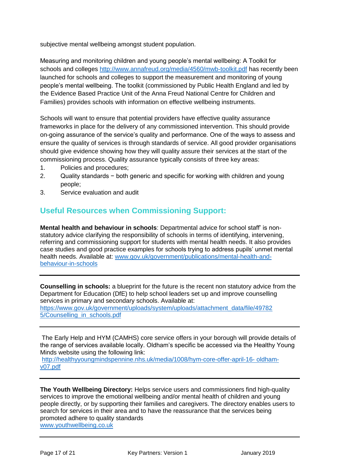subjective mental wellbeing amongst student population.

Measuring and monitoring children and young people's mental wellbeing: A Toolkit for schools and colleges<http://www.annafreud.org/media/4560/mwb-toolkit.pdf> has recently been launched for schools and colleges to support the measurement and monitoring of young people's mental wellbeing. The toolkit (commissioned by Public Health England and led by the Evidence Based Practice Unit of the Anna Freud National Centre for Children and Families) provides schools with information on effective wellbeing instruments.

Schools will want to ensure that potential providers have effective quality assurance frameworks in place for the delivery of any commissioned intervention. This should provide on-going assurance of the service's quality and performance. One of the ways to assess and ensure the quality of services is through standards of service. All good provider organisations should give evidence showing how they will quality assure their services at the start of the commissioning process. Quality assurance typically consists of three key areas:

- 1. Policies and procedures;
- 2. Quality standards − both generic and specific for working with children and young people;
- 3. Service evaluation and audit

### **Useful Resources when Commissioning Support:**

**Mental health and behaviour in schools**: Departmental advice for school staff' is nonstatutory advice clarifying the responsibility of schools in terms of identifying, intervening, referring and commissioning support for students with mental health needs. It also provides case studies and good practice examples for schools trying to address pupils' unmet mental health needs. Available at: [www.gov.uk/government/publications/mental-health-and](http://www.gov.uk/government/publications/mental-health-and-behaviour-in-schools)[behaviour-in-schools](http://www.gov.uk/government/publications/mental-health-and-behaviour-in-schools)

**Counselling in schools:** a blueprint for the future is the recent non statutory advice from the Department for Education (DfE) to help school leaders set up and improve counselling services in primary and secondary schools. Available at:

[https://www.gov.uk/government/uploads/system/uploads/attachment\\_data/file/49782](https://www.gov.uk/government/uploads/system/uploads/attachment_data/file/49782%205/Counselling_in_schools.pdf)  [5/Counselling\\_in\\_schools.pdf](https://www.gov.uk/government/uploads/system/uploads/attachment_data/file/49782%205/Counselling_in_schools.pdf)

The Early Help and HYM (CAMHS) core service offers in your borough will provide details of the range of services available locally. Oldham's specific be accessed via the Healthy Young Minds website using the following link:

[http://healthyyoungmindspennine.nhs.uk/media/1008/hym-core-offer-april-16-](http://healthyyoungmindspennine.nhs.uk/media/1008/hym-core-offer-april-16-%20oldham-v07.pdf) oldham[v07.pdf](http://healthyyoungmindspennine.nhs.uk/media/1008/hym-core-offer-april-16-%20oldham-v07.pdf)

**The Youth Wellbeing Directory:** Helps service users and commissioners find high-quality services to improve the emotional wellbeing and/or mental health of children and young people directly, or by supporting their families and caregivers. The directory enables users to search for services in their area and to have the reassurance that the services being promoted adhere to quality standards [www.youthwellbeing.co.uk](http://www.youthwellbeing.co.uk/)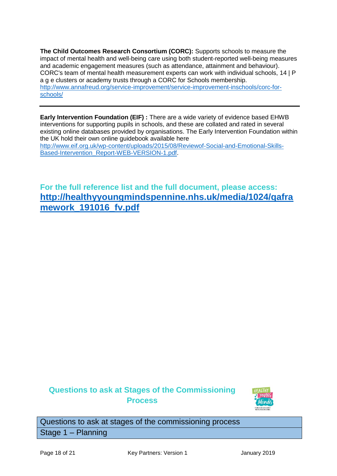**The Child Outcomes Research Consortium (CORC):** Supports schools to measure the impact of mental health and well-being care using both student-reported well-being measures and academic engagement measures (such as attendance, attainment and behaviour). CORC's team of mental health measurement experts can work with individual schools, 14 | P a g e clusters or academy trusts through a CORC for Schools membership. [http://www.annafreud.org/service-improvement/service-improvement-inschools/corc-for](http://www.annafreud.org/service-improvement/service-improvement-inschools/corc-for-schools/)[schools/](http://www.annafreud.org/service-improvement/service-improvement-inschools/corc-for-schools/)

**Early Intervention Foundation (EIF) :** There are a wide variety of evidence based EHWB interventions for supporting pupils in schools, and these are collated and rated in several existing online databases provided by organisations. The Early Intervention Foundation within the UK hold their own online guidebook available here [http://www.eif.org.uk/wp-content/uploads/2015/08/Reviewof-Social-and-Emotional-Skills-](http://www.eif.org.uk/wp-content/uploads/2015/08/Reviewof-Social-and-Emotional-Skills-Based-Intervention_Report-WEB-VERSION-1.pdf)[Based-Intervention\\_Report-WEB-VERSION-1.pdf.](http://www.eif.org.uk/wp-content/uploads/2015/08/Reviewof-Social-and-Emotional-Skills-Based-Intervention_Report-WEB-VERSION-1.pdf)

**For the full reference list and the full document, please access: [http://healthyyoungmindspennine.nhs.uk/media/1024/qafra](http://healthyyoungmindspennine.nhs.uk/media/1024/qaframework_191016_fv.pdf) [mework\\_191016\\_fv.pdf](http://healthyyoungmindspennine.nhs.uk/media/1024/qaframework_191016_fv.pdf)**

## **Questions to ask at Stages of the Commissioning Process**



Questions to ask at stages of the commissioning process Stage 1 – Planning

Page 18 of 21 Key Partners: Version 1 January 2019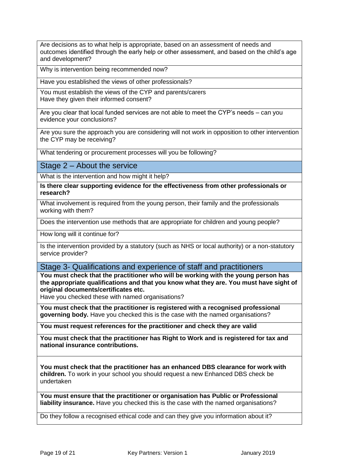Are decisions as to what help is appropriate, based on an assessment of needs and outcomes identified through the early help or other assessment, and based on the child's age and development?

Why is intervention being recommended now?

Have you established the views of other professionals?

You must establish the views of the CYP and parents/carers Have they given their informed consent?

Are you clear that local funded services are not able to meet the CYP's needs – can you evidence your conclusions?

Are you sure the approach you are considering will not work in opposition to other intervention the CYP may be receiving?

What tendering or procurement processes will you be following?

Stage 2 – About the service

What is the intervention and how might it help?

**Is there clear supporting evidence for the effectiveness from other professionals or research?**

What involvement is required from the young person, their family and the professionals working with them?

Does the intervention use methods that are appropriate for children and young people?

How long will it continue for?

Is the intervention provided by a statutory (such as NHS or local authority) or a non-statutory service provider?

Stage 3- Qualifications and experience of staff and practitioners

**You must check that the practitioner who will be working with the young person has the appropriate qualifications and that you know what they are. You must have sight of original documents/certificates etc.** 

Have you checked these with named organisations?

**You must check that the practitioner is registered with a recognised professional governing body.** Have you checked this is the case with the named organisations?

**You must request references for the practitioner and check they are valid**

**You must check that the practitioner has Right to Work and is registered for tax and national insurance contributions.**

**You must check that the practitioner has an enhanced DBS clearance for work with children.** To work in your school you should request a new Enhanced DBS check be undertaken

**You must ensure that the practitioner or organisation has Public or Professional liability insurance.** Have you checked this is the case with the named organisations?

Do they follow a recognised ethical code and can they give you information about it?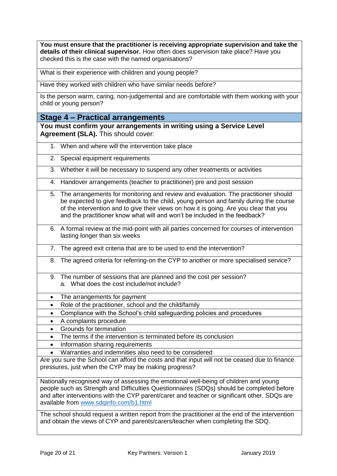**You must ensure that the practitioner is receiving appropriate supervision and take the details of their clinical supervisor.** How often does supervision take place? Have you checked this is the case with the named organisations?

What is their experience with children and young people?

Have they worked with children who have similar needs before?

Is the person warm, caring, non-judgemental and are comfortable with them working with your child or young person?

**Stage 4 – Practical arrangements** 

**You must confirm your arrangements in writing using a Service Level Agreement (SLA).** This should cover:

- 1. When and where will the intervention take place
- 2. Special equipment requirements
- 3. Whether it will be necessary to suspend any other treatments or activities
- 4. Handover arrangements (teacher to practitioner) pre and post session
- 5. The arrangements for monitoring and review and evaluation. The practitioner should be expected to give feedback to the child, young person and family during the course of the intervention and to give their views on how it is going. Are you clear that you and the practitioner know what will and won't be included in the feedback?
- 6. A formal review at the mid-point with all parties concerned for courses of intervention lasting longer than six weeks
- 7. The agreed exit criteria that are to be used to end the intervention?
- 8. The agreed criteria for referring-on the CYP to another or more specialised service?
- 9. The number of sessions that are planned and the cost per session? a. What does the cost include/not include?
- The arrangements for payment
- Role of the practitioner, school and the child/family
- Compliance with the School's child safeguarding policies and procedures
- A complaints procedure
- Grounds for termination
- The terms if the intervention is terminated before its conclusion
- Information sharing requirements
- Warranties and indemnities also need to be considered

Are you sure the School can afford the costs and that input will not be ceased due to finance pressures, just when the CYP may be making progress?

Nationally recognised way of assessing the emotional well-being of children and young people such as Strength and Difficulties Questionnaires (SDQs) should be completed before and after interventions with the CYP parent/carer and teacher or significant other. SDQs are available from [www.sdqinfo.com/b1.html](http://www.sdqinfo.com/b1.html)

The school should request a written report from the practitioner at the end of the intervention and obtain the views of CYP and parents/carers/teacher when completing the SDQ.